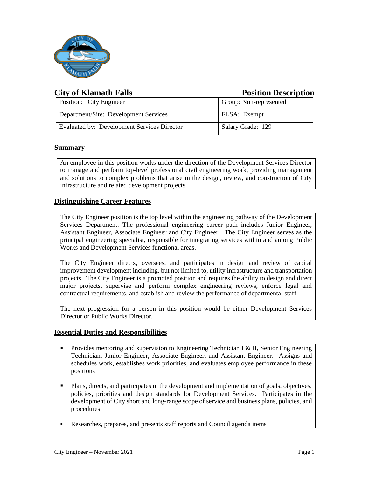

# **City of Klamath Falls Position Description**

| <b>Position:</b> City Engineer              | Group: Non-represented |
|---------------------------------------------|------------------------|
| Department/Site: Development Services       | FLSA: Exempt           |
| Evaluated by: Development Services Director | Salary Grade: 129      |

# **Summary**

An employee in this position works under the direction of the Development Services Director to manage and perform top-level professional civil engineering work, providing management and solutions to complex problems that arise in the design, review, and construction of City infrastructure and related development projects.

# **Distinguishing Career Features**

The City Engineer position is the top level within the engineering pathway of the Development Services Department. The professional engineering career path includes Junior Engineer, Assistant Engineer, Associate Engineer and City Engineer. The City Engineer serves as the principal engineering specialist, responsible for integrating services within and among Public Works and Development Services functional areas.

The City Engineer directs, oversees, and participates in design and review of capital improvement development including, but not limited to, utility infrastructure and transportation projects. The City Engineer is a promoted position and requires the ability to design and direct major projects, supervise and perform complex engineering reviews, enforce legal and contractual requirements, and establish and review the performance of departmental staff.

The next progression for a person in this position would be either Development Services Director or Public Works Director.

# **Essential Duties and Responsibilities**

- Provides mentoring and supervision to Engineering Technician I & II, Senior Engineering Technician, Junior Engineer, Associate Engineer, and Assistant Engineer. Assigns and schedules work, establishes work priorities, and evaluates employee performance in these positions
- Plans, directs, and participates in the development and implementation of goals, objectives, policies, priorities and design standards for Development Services. Participates in the development of City short and long-range scope of service and business plans, policies, and procedures
- Researches, prepares, and presents staff reports and Council agenda items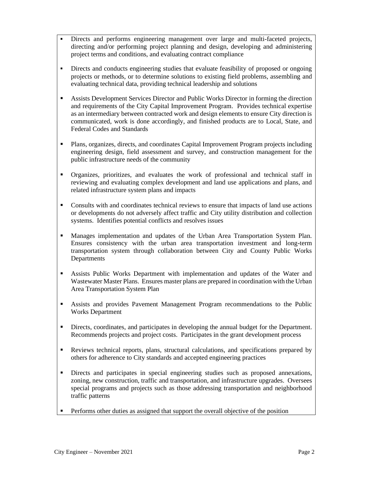- Directs and performs engineering management over large and multi-faceted projects, directing and/or performing project planning and design, developing and administering project terms and conditions, and evaluating contract compliance
- Directs and conducts engineering studies that evaluate feasibility of proposed or ongoing projects or methods, or to determine solutions to existing field problems, assembling and evaluating technical data, providing technical leadership and solutions
- Assists Development Services Director and Public Works Director in forming the direction and requirements of the City Capital Improvement Program. Provides technical expertise as an intermediary between contracted work and design elements to ensure City direction is communicated, work is done accordingly, and finished products are to Local, State, and Federal Codes and Standards
- Plans, organizes, directs, and coordinates Capital Improvement Program projects including engineering design, field assessment and survey, and construction management for the public infrastructure needs of the community
- Organizes, prioritizes, and evaluates the work of professional and technical staff in reviewing and evaluating complex development and land use applications and plans, and related infrastructure system plans and impacts
- Consults with and coordinates technical reviews to ensure that impacts of land use actions or developments do not adversely affect traffic and City utility distribution and collection systems. Identifies potential conflicts and resolves issues
- Manages implementation and updates of the Urban Area Transportation System Plan. Ensures consistency with the urban area transportation investment and long-term transportation system through collaboration between City and County Public Works Departments
- Assists Public Works Department with implementation and updates of the Water and Wastewater Master Plans. Ensures master plans are prepared in coordination with the Urban Area Transportation System Plan
- Assists and provides Pavement Management Program recommendations to the Public Works Department
- **•** Directs, coordinates, and participates in developing the annual budget for the Department. Recommends projects and project costs. Participates in the grant development process
- Reviews technical reports, plans, structural calculations, and specifications prepared by others for adherence to City standards and accepted engineering practices
- **EXECT:** Directs and participates in special engineering studies such as proposed annexations, zoning, new construction, traffic and transportation, and infrastructure upgrades. Oversees special programs and projects such as those addressing transportation and neighborhood traffic patterns
- **•** Performs other duties as assigned that support the overall objective of the position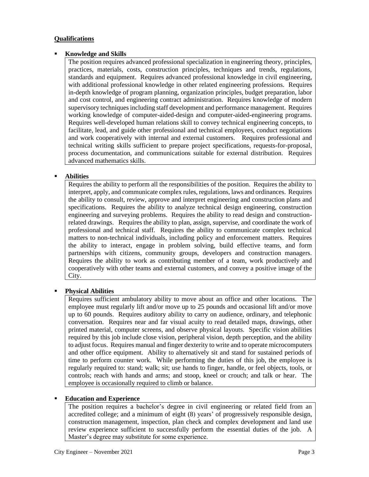### **Qualifications**

#### **Knowledge and Skills**

The position requires advanced professional specialization in engineering theory, principles, practices, materials, costs, construction principles, techniques and trends, regulations, standards and equipment. Requires advanced professional knowledge in civil engineering, with additional professional knowledge in other related engineering professions. Requires in-depth knowledge of program planning, organization principles, budget preparation, labor and cost control, and engineering contract administration. Requires knowledge of modern supervisory techniques including staff development and performance management. Requires working knowledge of computer-aided-design and computer-aided-engineering programs. Requires well-developed human relations skill to convey technical engineering concepts, to facilitate, lead, and guide other professional and technical employees, conduct negotiations and work cooperatively with internal and external customers. Requires professional and technical writing skills sufficient to prepare project specifications, requests-for-proposal, process documentation, and communications suitable for external distribution. Requires advanced mathematics skills.

#### ▪ **Abilities**

Requires the ability to perform all the responsibilities of the position. Requires the ability to interpret, apply, and communicate complex rules, regulations, laws and ordinances. Requires the ability to consult, review, approve and interpret engineering and construction plans and specifications. Requires the ability to analyze technical design engineering, construction engineering and surveying problems. Requires the ability to read design and constructionrelated drawings. Requires the ability to plan, assign, supervise, and coordinate the work of professional and technical staff. Requires the ability to communicate complex technical matters to non-technical individuals, including policy and enforcement matters. Requires the ability to interact, engage in problem solving, build effective teams, and form partnerships with citizens, community groups, developers and construction managers. Requires the ability to work as contributing member of a team, work productively and cooperatively with other teams and external customers, and convey a positive image of the City.

#### **Physical Abilities**

Requires sufficient ambulatory ability to move about an office and other locations. The employee must regularly lift and/or move up to 25 pounds and occasional lift and/or move up to 60 pounds. Requires auditory ability to carry on audience, ordinary, and telephonic conversation. Requires near and far visual acuity to read detailed maps, drawings, other printed material, computer screens, and observe physical layouts. Specific vision abilities required by this job include close vision, peripheral vision, depth perception, and the ability to adjust focus. Requires manual and finger dexterity to write and to operate microcomputers and other office equipment. Ability to alternatively sit and stand for sustained periods of time to perform counter work. While performing the duties of this job, the employee is regularly required to: stand; walk; sit; use hands to finger, handle, or feel objects, tools, or controls; reach with hands and arms; and stoop, kneel or crouch; and talk or hear. The employee is occasionally required to climb or balance.

#### ▪ **Education and Experience**

The position requires a bachelor's degree in civil engineering or related field from an accredited college; and a minimum of eight (8) years' of progressively responsible design, construction management, inspection, plan check and complex development and land use review experience sufficient to successfully perform the essential duties of the job. A Master's degree may substitute for some experience.